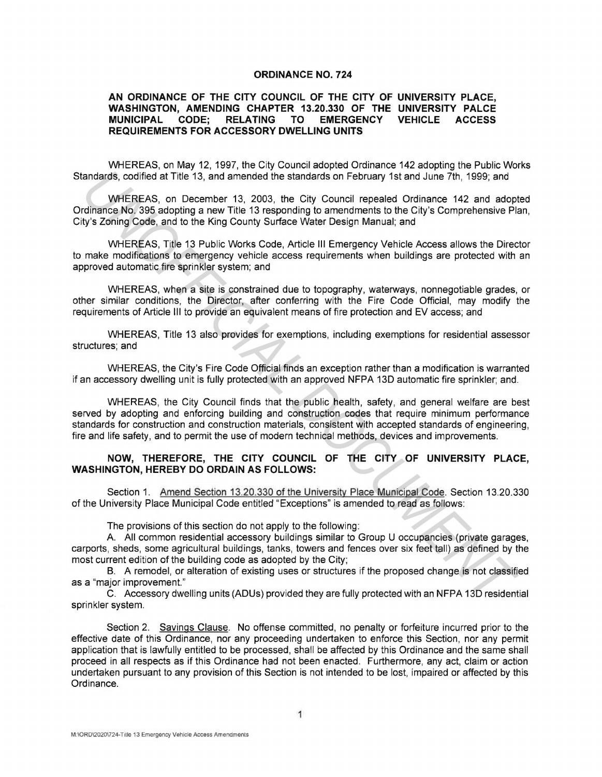## **ORDINANCE NO. 724**

## **AN ORDINANCE OF THE CITY COUNCIL OF THE CITY OF UNIVERSITY PLACE, WASHINGTON, AMENDING CHAPTER 13.20.330 OF THE UNIVERSITY PALCE**  RELATING TO EMERGENCY **REQUIREMENTS FOR ACCESSORY DWELLING UNITS**

WHEREAS, on May 12, 1997, the City Council adopted Ordinance 142 adopting the Public Works Standards, codified at Title 13, and amended the standards on February 1st and June 7th, 1999; and

WHEREAS, on December 13, 2003, the City Council repealed Ordinance 142 and adopted Ordinance No. 395 adopting a new Title 13 responding to amendments to the City's Comprehensive Plan, City's Zoning Code, and to the King County Surface Water Design Manual; and

WHEREAS, Title 13 Public Works Code, Article Ill Emergency Vehicle Access allows the Director to make modifications to emergency vehicle access requirements when buildings are protected with an approved automatic fire sprinkler system; and

WHEREAS, when a site is constrained due to topography, waterways, nonnegotiable grades, or other similar conditions, the Director, after conferring with the Fire Code Official, may modify the requirements of Article Ill to provide an equivalent means of fire protection and EV access; and

WHEREAS, Title 13 also provides for exemptions, including exemptions for residential assessor structures; and

WHEREAS, the City's Fire Code Official finds an exception rather than a modification is warranted if an accessory dwelling unit is fully protected with an approved NFPA 13D automatic fire sprinkler; and.

WHEREAS, the City Council finds that the public health, safety, and general welfare are best served by adopting and enforcing building and construction codes that require minimum performance standards for construction and construction materials, consistent with accepted standards of engineering, fire and life safety, and to permit the use of modern technical methods, devices and improvements. andards, codified at Title 13, and amended the standards on February 1st and June 7th, 1999; and<br>
WhEREAS on December 13, 2003; the City Council repeated Ordinance<br>
Incidence No. 395 adopting a new Title 13 responding to a

## **NOW, THEREFORE, THE CITY COUNCIL OF THE CITY OF UNIVERSITY PLACE, WASHINGTON, HEREBY DO ORDAIN AS FOLLOWS:**

Section 1. Amend Section 13.20.330 of the University Place Municipal Code. Section 13.20.330 of the University Place Municipal Code entitled "Exceptions" is amended to read as follows:

The provisions of this section do not apply to the following:

A. All common residential accessory buildings similar to Group U occupancies (private garages, carports, sheds, some agricultural buildings, tanks, towers and fences over six feet tall) as defined by the most current edition of the building code as adopted by the City;

B. A remodel, or alteration of existing uses or structures if the proposed change is not classified as a "major improvement."

C. Accessory dwelling units (ADUs) provided they are fully protected with an NFPA 13D residential sprinkler system.

Section 2. Savings Clause. No offense committed, no penalty or forfeiture incurred prior to the effective date of this Ordinance, nor any proceeding undertaken to enforce this Section, nor any permit application that is lawfully entitled to be processed, shall be affected by this Ordinance and the same shall proceed in all respects as if this Ordinance had not been enacted. Furthermore, any act, claim or action undertaken pursuant to any provision of this Section is not intended to be lost, impaired or affected by this Ordinance.